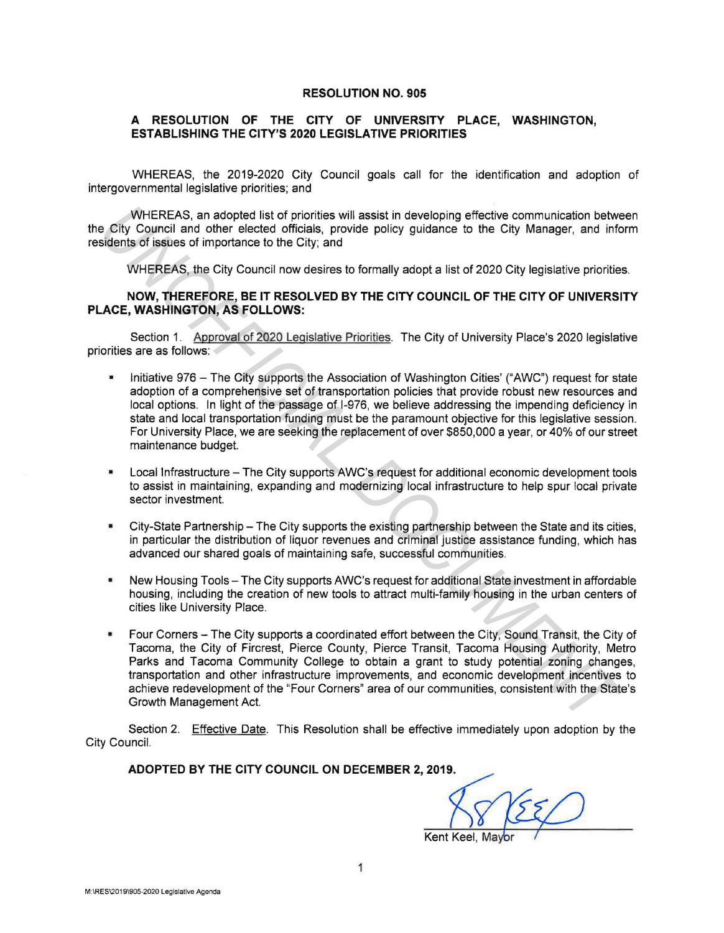## **RESOLUTION NO. 905**

## **A RESOLUTION OF THE CITY OF UNIVERSITY PLACE, WASHINGTON, ESTABLISHING THE CITY'S 2020 LEGISLATIVE PRIORITIES**

WHEREAS, the 2019-2020 City Council goals call for the identification and adoption of intergovernmental legislative priorities; and

WHEREAS, an adopted list of priorities will assist in developing effective communication between the City Council and other elected officials, provide policy guidance to the City Manager, and inform residents of issues of importance to the City; and

WHEREAS, the City Council now desires to formally adopt a list of 2020 City legislative priorities.

## **NOW, THEREFORE, BE IT RESOLVED BY THE CITY COUNCIL OF THE CITY OF UNIVERSITY PLACE, WASHINGTON, AS FOLLOWS:**

Section 1. Approval of 2020 Legislative Priorities. The City of University Place's 2020 legislative priorities are as follows:

- Initiative 976 The City supports the Association of Washington Cities' ("AWC") request for state adoption of a comprehensive set of transportation policies that provide robust new resources and local options. In light of the passage of 1-976, we believe addressing the impending deficiency in state and local transportation funding must be the paramount objective for this legislative session. For University Place, we are seeking the replacement of over \$850,000 a year, or 40% of our street maintenance budget.
- Local Infrastructure The City supports AWC's request for additional economic development tools to assist in maintaining, expanding and modernizing local infrastructure to help spur local private sector investment.
- City-State Partnership The City supports the existing partnership between the State and its cities, in particular the distribution of liquor revenues and criminal justice assistance funding, which has advanced our shared goals of maintaining safe, successful communities.
- New Housing Tools The City supports AWC's request for additional State investment in affordable housing, including the creation of new tools to attract multi-family housing in the urban centers of cities like University Place.
- Four Corners The City supports a coordinated effort between the City, Sound Transit, the City of Tacoma, the City of Fircrest, Pierce County, Pierce Transit, Tacoma Housing Authority, Metro Parks and Tacoma Community College to obtain a grant to study potential zoning changes, transportation and other infrastructure improvements, and economic development incentives to achieve redevelopment of the "Four Corners" area of our communities, consistent with the State's Growth Management Act. Where Res, an adopted list of priorities will assist in developing effective communication between the Gity Cauncil and other elected officials, provide policy guidance to the City Manager, and info<br>
Signis of its use of i

Section 2. Effective Date. This Resolution shall be effective immediately upon adoption by the City Council.

## **ADOPTED BY THE CITY COUNCIL ON DECEMBER 2, 2019.**

Kent Keel, Mayor